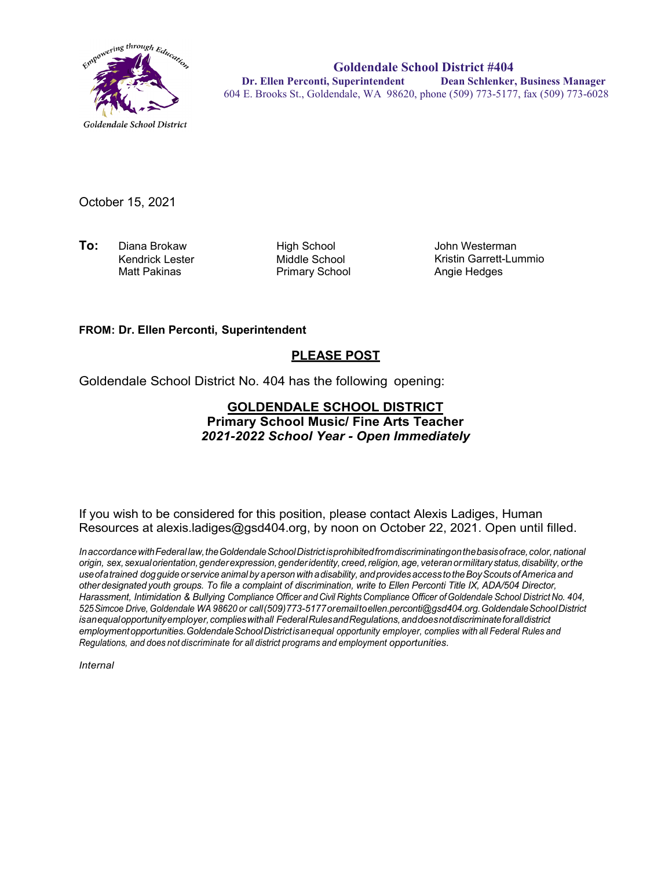

**Goldendale School District #404 Dr. Ellen Perconti, Superintendent Dean Schlenker, Business Manager** 604 E. Brooks St., Goldendale, WA 98620, phone (509) 773-5177, fax (509) 773-6028

October 15, 2021

**To:** Diana Brokaw **High School**<br>Kendrick Lester Middle School Kendrick Lester Matt Pakinas **Primary School** 

John Westerman Kristin Garrett-Lummio Angie Hedges

## **FROM: Dr. Ellen Perconti, Superintendent**

## **PLEASE POST**

Goldendale School District No. 404 has the following opening:

## **GOLDENDALE SCHOOL DISTRICT Primary School Music/ Fine Arts Teacher**  *2021-2022 School Year - Open Immediately*

If you wish to be considered for this position, please contact Alexis Ladiges, Human Resources at alexis.ladiges@gsd404.org, by noon on October 22, 2021. Open until filled.

*InaccordancewithFederal law,theGoldendaleSchoolDistrictisprohibitedfromdiscriminatingonthebasisofrace,color,national origin, sex,sexualorientation,genderexpression,genderidentity,creed,religion,age, veteranormilitarystatus,disability,orthe useofa trained dogguide orservice animal by a person witha disability, andprovidesaccess totheBoyScouts ofAmerica and other designated youth groups. To file a complaint of discrimination, write to Ellen Perconti Title IX, ADA/504 Director, Harassment, Intimidation & Bullying Compliance Officer and Civil Rights Compliance Officer ofGoldendale School District No. 404, 525Simcoe Drive, Goldendale WA 98620 or call(509)773-5177oremailt[oellen.perconti@gsd404.org.G](mailto:ellen.perconti@gsd404.org)oldendaleSchoolDistrict isanequalopportunityemployer,complieswithall FederalRulesandRegulations,anddoesnotdiscriminateforalldistrict employmentopportunities.GoldendaleSchoolDistrictisanequal opportunity employer, complies with all Federal Rules and Regulations, and does not discriminate for all district programs and employment opportunities.* 

*Internal*